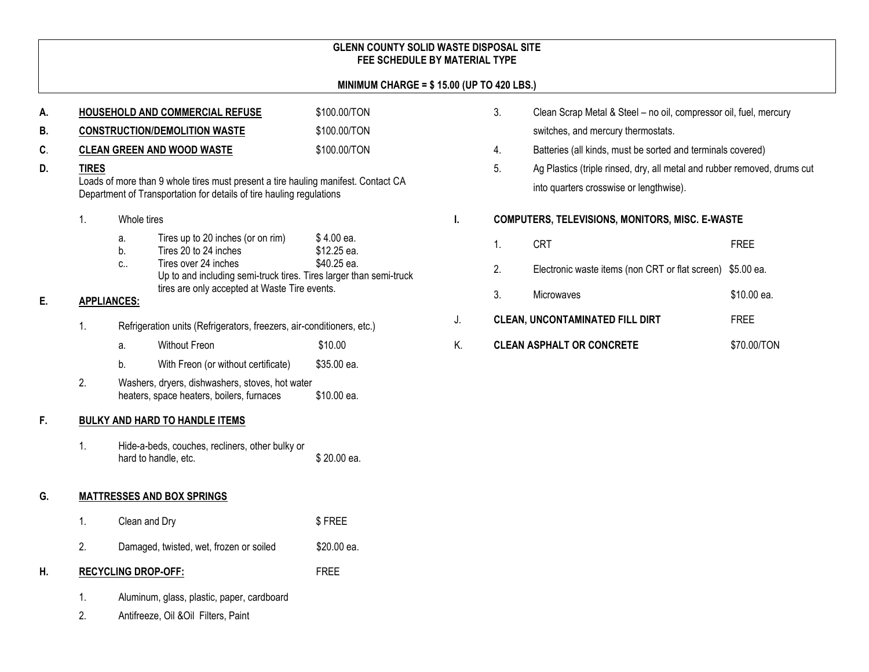### **GLENN COUNTY SOLID WASTE DISPOSAL SITE FEE SCHEDULE BY MATERIAL TYPE**

#### **MINIMUM CHARGE = \$ 15.00 (UP TO 420 LBS.)**

| А. |                                                                                                                                                                           | HOUSEHOLD AND COMMERCIAL REFUSE                                                              | \$100.00/TON                                                                                                                                                                                              |                                          |  |
|----|---------------------------------------------------------------------------------------------------------------------------------------------------------------------------|----------------------------------------------------------------------------------------------|-----------------------------------------------------------------------------------------------------------------------------------------------------------------------------------------------------------|------------------------------------------|--|
| В. | <b>CONSTRUCTION/DEMOLITION WASTE</b>                                                                                                                                      |                                                                                              |                                                                                                                                                                                                           | \$100.00/TON                             |  |
| C. |                                                                                                                                                                           |                                                                                              | <b>CLEAN GREEN AND WOOD WASTE</b>                                                                                                                                                                         | \$100.00/TON                             |  |
| D. | <b>TIRES</b><br>Loads of more than 9 whole tires must present a tire hauling manifest. Contact CA<br>Department of Transportation for details of tire hauling regulations |                                                                                              |                                                                                                                                                                                                           |                                          |  |
|    | 1.                                                                                                                                                                        | Whole tires                                                                                  |                                                                                                                                                                                                           |                                          |  |
|    |                                                                                                                                                                           | a.<br>b.<br>C.,                                                                              | Tires up to 20 inches (or on rim)<br>Tires 20 to 24 inches<br>Tires over 24 inches<br>Up to and including semi-truck tires. Tires larger than semi-truck<br>tires are only accepted at Waste Tire events. | \$4.00 ea.<br>\$12.25 ea.<br>\$40.25 ea. |  |
| Е. | <b>APPLIANCES:</b>                                                                                                                                                        |                                                                                              |                                                                                                                                                                                                           |                                          |  |
|    | 1.                                                                                                                                                                        | Refrigeration units (Refrigerators, freezers, air-conditioners, etc.)                        |                                                                                                                                                                                                           |                                          |  |
|    |                                                                                                                                                                           | a.                                                                                           | <b>Without Freon</b>                                                                                                                                                                                      | \$10.00                                  |  |
|    |                                                                                                                                                                           | b.                                                                                           | With Freon (or without certificate)                                                                                                                                                                       | \$35.00 ea.                              |  |
|    | 2.                                                                                                                                                                        | Washers, dryers, dishwashers, stoves, hot water<br>heaters, space heaters, boilers, furnaces |                                                                                                                                                                                                           | \$10.00 ea.                              |  |
| F. |                                                                                                                                                                           |                                                                                              | <b>BULKY AND HARD TO HANDLE ITEMS</b>                                                                                                                                                                     |                                          |  |
|    | 1.                                                                                                                                                                        |                                                                                              | Hide-a-beds, couches, recliners, other bulky or<br>hard to handle, etc.                                                                                                                                   | \$20.00 ea.                              |  |
| G. |                                                                                                                                                                           | <b>MATTRESSES AND BOX SPRINGS</b>                                                            |                                                                                                                                                                                                           |                                          |  |
|    | 1.                                                                                                                                                                        | Clean and Dry                                                                                |                                                                                                                                                                                                           | \$FREE                                   |  |
|    | 2.                                                                                                                                                                        |                                                                                              | Damaged, twisted, wet, frozen or soiled                                                                                                                                                                   | \$20.00 ea.                              |  |
| н. | <b>RECYCLING DROP-OFF:</b>                                                                                                                                                |                                                                                              |                                                                                                                                                                                                           | <b>FREE</b>                              |  |
|    | 1.<br>2.                                                                                                                                                                  | Aluminum, glass, plastic, paper, cardboard<br>Antifreeze, Oil & Oil Filters, Paint           |                                                                                                                                                                                                           |                                          |  |

- 3. Clean Scrap Metal & Steel no oil, compressor oil, fuel, mercury switches, and mercury thermostats.
- 4. Batteries (all kinds, must be sorted and terminals covered)
- 5. Ag Plastics (triple rinsed, dry, all metal and rubber removed, drums cut into quarters crosswise or lengthwise).

#### **I. COMPUTERS, TELEVISIONS, MONITORS, MISC. E-WASTE**

1. CRT FREE 2. Electronic waste items (non CRT or flat screen) \$5.00 ea. 3. Microwaves \$10.00 ea. J. **CLEAN, UNCONTAMINATED FILL DIRT** FREE K. CLEAN ASPHALT OR CONCRETE \$70.00/TON